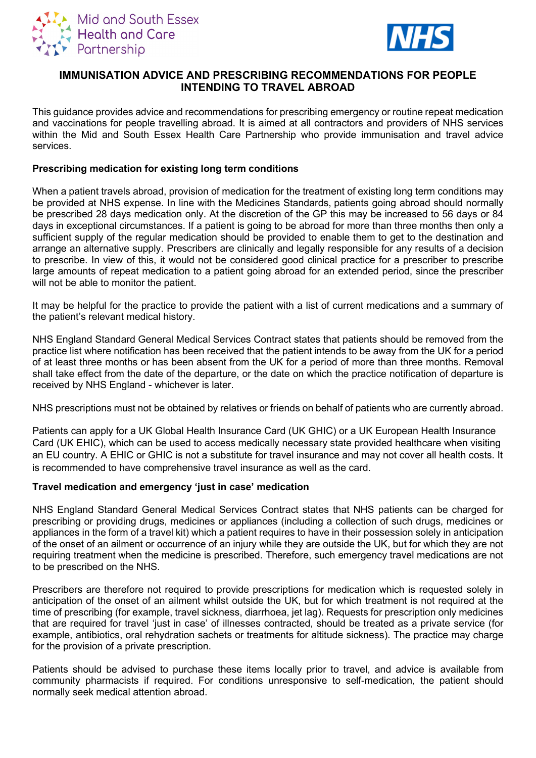



# **IMMUNISATION ADVICE AND PRESCRIBING RECOMMENDATIONS FOR PEOPLE INTENDING TO TRAVEL ABROAD**

This guidance provides advice and recommendations for prescribing emergency or routine repeat medication and vaccinations for people travelling abroad. It is aimed at all contractors and providers of NHS services within the Mid and South Essex Health Care Partnership who provide immunisation and travel advice services.

### **Prescribing medication for existing long term conditions**

When a patient travels abroad, provision of medication for the treatment of existing long term conditions may be provided at NHS expense. In line with the Medicines Standards, patients going abroad should normally be prescribed 28 days medication only. At the discretion of the GP this may be increased to 56 days or 84 days in exceptional circumstances. If a patient is going to be abroad for more than three months then only a sufficient supply of the regular medication should be provided to enable them to get to the destination and arrange an alternative supply. Prescribers are clinically and legally responsible for any results of a decision to prescribe. In view of this, it would not be considered good clinical practice for a prescriber to prescribe large amounts of repeat medication to a patient going abroad for an extended period, since the prescriber will not be able to monitor the patient.

It may be helpful for the practice to provide the patient with a list of current medications and a summary of the patient's relevant medical history.

NHS England Standard General Medical Services Contract states that patients should be removed from the practice list where notification has been received that the patient intends to be away from the UK for a period of at least three months or has been absent from the UK for a period of more than three months. Removal shall take effect from the date of the departure, or the date on which the practice notification of departure is received by NHS England - whichever is later.

NHS prescriptions must not be obtained by relatives or friends on behalf of patients who are currently abroad.

Patients can apply for a UK Global Health Insurance Card (UK GHIC) or a UK European Health Insurance Card (UK EHIC), which can be used to access medically necessary state provided healthcare when visiting an EU country. A EHIC or GHIC is not a substitute for travel insurance and may not cover all health costs. It is recommended to have comprehensive travel insurance as well as the card.

#### **Travel medication and emergency 'just in case' medication**

NHS England Standard General Medical Services Contract states that NHS patients can be charged for prescribing or providing drugs, medicines or appliances (including a collection of such drugs, medicines or appliances in the form of a travel kit) which a patient requires to have in their possession solely in anticipation of the onset of an ailment or occurrence of an injury while they are outside the UK, but for which they are not requiring treatment when the medicine is prescribed. Therefore, such emergency travel medications are not to be prescribed on the NHS.

Prescribers are therefore not required to provide prescriptions for medication which is requested solely in anticipation of the onset of an ailment whilst outside the UK, but for which treatment is not required at the time of prescribing (for example, travel sickness, diarrhoea, jet lag). Requests for prescription only medicines that are required for travel 'just in case' of illnesses contracted, should be treated as a private service (for example, antibiotics, oral rehydration sachets or treatments for altitude sickness). The practice may charge for the provision of a private prescription.

Patients should be advised to purchase these items locally prior to travel, and advice is available from community pharmacists if required. For conditions unresponsive to self-medication, the patient should normally seek medical attention abroad.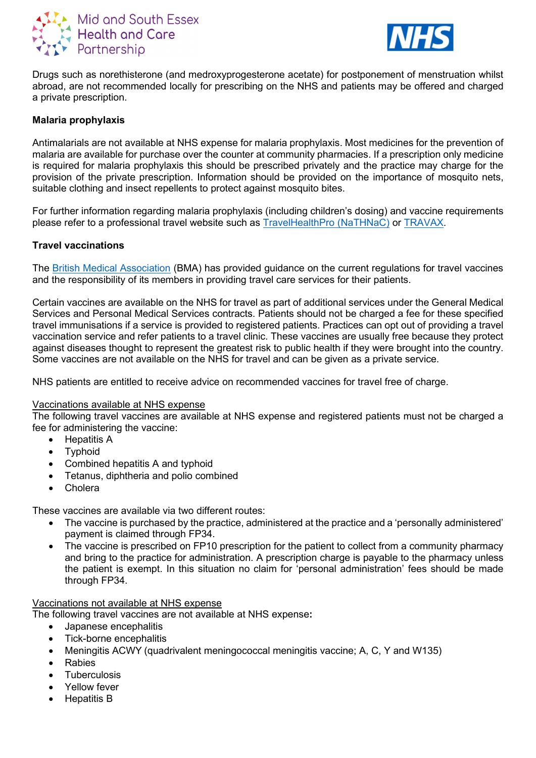



Drugs such as norethisterone (and medroxyprogesterone acetate) for postponement of menstruation whilst abroad, are not recommended locally for prescribing on the NHS and patients may be offered and charged a private prescription.

### **Malaria prophylaxis**

Antimalarials are not available at NHS expense for malaria prophylaxis. Most medicines for the prevention of malaria are available for purchase over the counter at community pharmacies. If a prescription only medicine is required for malaria prophylaxis this should be prescribed privately and the practice may charge for the provision of the private prescription. Information should be provided on the importance of mosquito nets, suitable clothing and insect repellents to protect against mosquito bites.

For further information regarding malaria prophylaxis (including children's dosing) and vaccine requirements please refer to a professional travel website such as [TravelHealthPro \(NaTHNaC\)](https://travelhealthpro.org.uk/) or [TRAVAX.](https://www.travax.nhs.uk/)

### **Travel vaccinations**

The [British Medical Association](https://www.bma.org.uk/advice-and-support/gp-practices/vaccinations/travel-vaccinations) (BMA) has provided guidance on the current regulations for travel vaccines and the responsibility of its members in providing travel care services for their patients.

Certain vaccines are available on the NHS for travel as part of additional services under the General Medical Services and Personal Medical Services contracts. Patients should not be charged a fee for these specified travel immunisations if a service is provided to registered patients. Practices can opt out of providing a travel vaccination service and refer patients to a travel clinic. These vaccines are usually free because they protect against diseases thought to represent the greatest risk to public health if they were brought into the country. Some vaccines are not available on the NHS for travel and can be given as a private service.

NHS patients are entitled to receive advice on recommended vaccines for travel free of charge.

#### Vaccinations available at NHS expense

The following travel vaccines are available at NHS expense and registered patients must not be charged a fee for administering the vaccine:

- Hepatitis A
	- Typhoid
	- Combined hepatitis A and typhoid
	- Tetanus, diphtheria and polio combined
	- **Cholera**

These vaccines are available via two different routes:

- The vaccine is purchased by the practice, administered at the practice and a 'personally administered' payment is claimed through FP34.
- The vaccine is prescribed on FP10 prescription for the patient to collect from a community pharmacy and bring to the practice for administration. A prescription charge is payable to the pharmacy unless the patient is exempt. In this situation no claim for 'personal administration' fees should be made through FP34.

#### Vaccinations not available at NHS expense

The following travel vaccines are not available at NHS expense**:**

- Japanese encephalitis
- Tick-borne encephalitis
- Meningitis ACWY (quadrivalent meningococcal meningitis vaccine; A, C, Y and W135)
- Rabies
- **Tuberculosis**
- Yellow fever
- Hepatitis B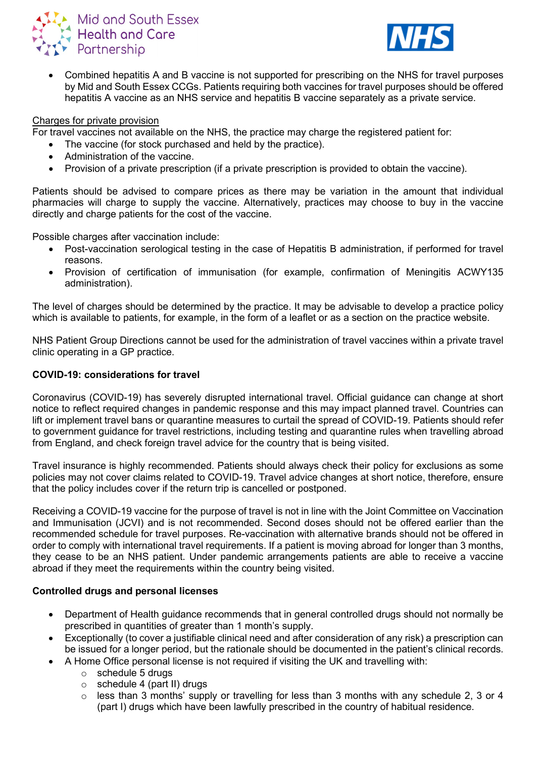



• Combined hepatitis A and B vaccine is not supported for prescribing on the NHS for travel purposes by Mid and South Essex CCGs. Patients requiring both vaccines for travel purposes should be offered hepatitis A vaccine as an NHS service and hepatitis B vaccine separately as a private service.

### Charges for private provision

For travel vaccines not available on the NHS, the practice may charge the registered patient for:

- The vaccine (for stock purchased and held by the practice).
- Administration of the vaccine.
- Provision of a private prescription (if a private prescription is provided to obtain the vaccine).

Patients should be advised to compare prices as there may be variation in the amount that individual pharmacies will charge to supply the vaccine. Alternatively, practices may choose to buy in the vaccine directly and charge patients for the cost of the vaccine.

Possible charges after vaccination include:

- Post-vaccination serological testing in the case of Hepatitis B administration, if performed for travel reasons.
- Provision of certification of immunisation (for example, confirmation of Meningitis ACWY135 administration).

The level of charges should be determined by the practice. It may be advisable to develop a practice policy which is available to patients, for example, in the form of a leaflet or as a section on the practice website.

NHS Patient Group Directions cannot be used for the administration of travel vaccines within a private travel clinic operating in a GP practice.

### **COVID-19: considerations for travel**

Coronavirus (COVID-19) has severely disrupted international travel. Official guidance can change at short notice to reflect required changes in pandemic response and this may impact planned travel. Countries can lift or implement travel bans or quarantine measures to curtail the spread of COVID-19. Patients should refer to government guidance for travel restrictions, including testing and quarantine rules when travelling abroad from England, and check foreign travel advice for the country that is being visited.

Travel insurance is highly recommended. Patients should always check their policy for exclusions as some policies may not cover claims related to COVID-19. Travel advice changes at short notice, therefore, ensure that the policy includes cover if the return trip is cancelled or postponed.

Receiving a COVID-19 vaccine for the purpose of travel is not in line with the Joint Committee on Vaccination and Immunisation (JCVI) and is not recommended. Second doses should not be offered earlier than the recommended schedule for travel purposes. Re-vaccination with alternative brands should not be offered in order to comply with international travel requirements. If a patient is moving abroad for longer than 3 months, they cease to be an NHS patient. Under pandemic arrangements patients are able to receive a vaccine abroad if they meet the requirements within the country being visited.

## **Controlled drugs and personal licenses**

- Department of Health guidance recommends that in general controlled drugs should not normally be prescribed in quantities of greater than 1 month's supply.
- Exceptionally (to cover a justifiable clinical need and after consideration of any risk) a prescription can be issued for a longer period, but the rationale should be documented in the patient's clinical records.
	- A Home Office personal license is not required if visiting the UK and travelling with:
		- $\circ$  schedule 5 drugs
		- $\circ$  schedule 4 (part II) drugs
		- $\circ$  less than 3 months' supply or travelling for less than 3 months with any schedule 2, 3 or 4 (part I) drugs which have been lawfully prescribed in the country of habitual residence.